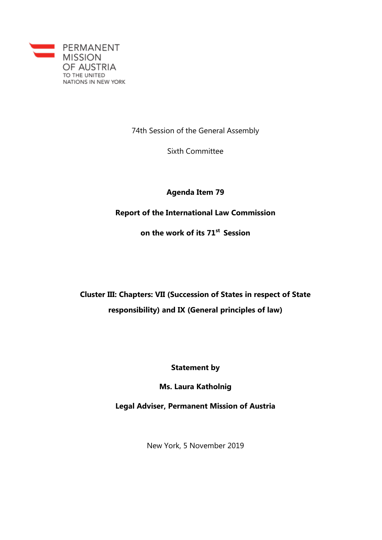

74th Session of the General Assembly

Sixth Committee

## **Agenda Item 79**

**Report of the International Law Commission**

**on the work of its 71st Session**

**Cluster III: Chapters: VII (Succession of States in respect of State responsibility) and IX (General principles of law)**

**Statement by**

**Ms. Laura Katholnig**

**Legal Adviser, Permanent Mission of Austria**

New York, 5 November 2019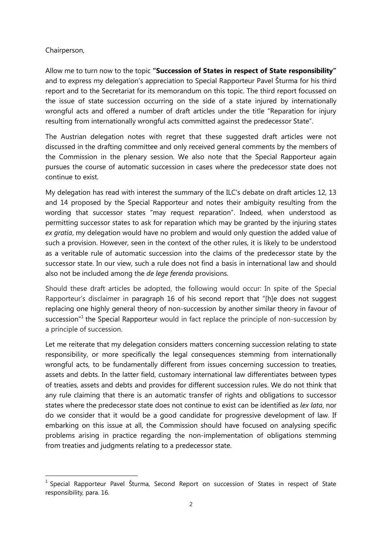## Chairperson,

 $\overline{a}$ 

Allow me to turn now to the topic **"Succession of States in respect of State responsibility"** and to express my delegation's appreciation to Special Rapporteur Pavel Šturma for his third report and to the Secretariat for its memorandum on this topic. The third report focussed on the issue of state succession occurring on the side of a state injured by internationally wrongful acts and offered a number of draft articles under the title "Reparation for injury resulting from internationally wrongful acts committed against the predecessor State".

The Austrian delegation notes with regret that these suggested draft articles were not discussed in the drafting committee and only received general comments by the members of the Commission in the plenary session. We also note that the Special Rapporteur again pursues the course of automatic succession in cases where the predecessor state does not continue to exist.

My delegation has read with interest the summary of the ILC's debate on draft articles 12, 13 and 14 proposed by the Special Rapporteur and notes their ambiguity resulting from the wording that successor states "may request reparation". Indeed, when understood as permitting successor states to ask for reparation which may be granted by the injuring states *ex gratia*, my delegation would have no problem and would only question the added value of such a provision. However, seen in the context of the other rules, it is likely to be understood as a veritable rule of automatic succession into the claims of the predecessor state by the successor state. In our view, such a rule does not find a basis in international law and should also not be included among the *de lege ferenda* provisions.

Should these draft articles be adopted, the following would occur: In spite of the Special Rapporteur's disclaimer in paragraph 16 of his second report that "[h]e does not suggest replacing one highly general theory of non-succession by another similar theory in favour of succession<sup>"1</sup> the Special Rapporteur would in fact replace the principle of non-succession by a principle of succession.

Let me reiterate that my delegation considers matters concerning succession relating to state responsibility, or more specifically the legal consequences stemming from internationally wrongful acts, to be fundamentally different from issues concerning succession to treaties, assets and debts. In the latter field, customary international law differentiates between types of treaties, assets and debts and provides for different succession rules. We do not think that any rule claiming that there is an automatic transfer of rights and obligations to successor states where the predecessor state does not continue to exist can be identified as *lex lata*, nor do we consider that it would be a good candidate for progressive development of law. If embarking on this issue at all, the Commission should have focused on analysing specific problems arising in practice regarding the non-implementation of obligations stemming from treaties and judgments relating to a predecessor state.

<sup>&</sup>lt;sup>1</sup> Special Rapporteur Pavel Šturma, Second Report on succession of States in respect of State responsibility, para. 16.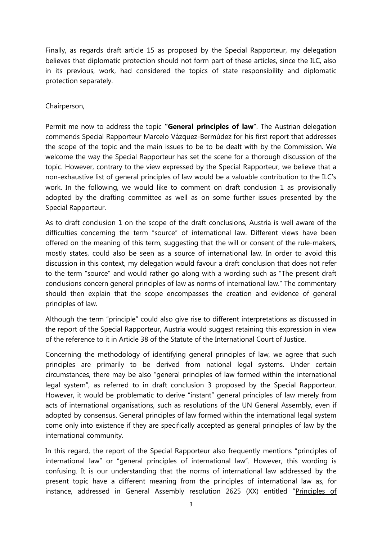Finally, as regards draft article 15 as proposed by the Special Rapporteur, my delegation believes that diplomatic protection should not form part of these articles, since the ILC, also in its previous, work, had considered the topics of state responsibility and diplomatic protection separately.

## Chairperson,

Permit me now to address the topic **"General principles of law**". The Austrian delegation commends Special Rapporteur Marcelo Vázquez-Bermúdez for his first report that addresses the scope of the topic and the main issues to be to be dealt with by the Commission. We welcome the way the Special Rapporteur has set the scene for a thorough discussion of the topic. However, contrary to the view expressed by the Special Rapporteur, we believe that a non-exhaustive list of general principles of law would be a valuable contribution to the ILC's work. In the following, we would like to comment on draft conclusion 1 as provisionally adopted by the drafting committee as well as on some further issues presented by the Special Rapporteur.

As to draft conclusion 1 on the scope of the draft conclusions, Austria is well aware of the difficulties concerning the term "source" of international law. Different views have been offered on the meaning of this term, suggesting that the will or consent of the rule-makers, mostly states, could also be seen as a source of international law. In order to avoid this discussion in this context, my delegation would favour a draft conclusion that does not refer to the term "source" and would rather go along with a wording such as "The present draft conclusions concern general principles of law as norms of international law." The commentary should then explain that the scope encompasses the creation and evidence of general principles of law.

Although the term "principle" could also give rise to different interpretations as discussed in the report of the Special Rapporteur, Austria would suggest retaining this expression in view of the reference to it in Article 38 of the Statute of the International Court of Justice.

Concerning the methodology of identifying general principles of law, we agree that such principles are primarily to be derived from national legal systems. Under certain circumstances, there may be also "general principles of law formed within the international legal system", as referred to in draft conclusion 3 proposed by the Special Rapporteur. However, it would be problematic to derive "instant" general principles of law merely from acts of international organisations, such as resolutions of the UN General Assembly, even if adopted by consensus. General principles of law formed within the international legal system come only into existence if they are specifically accepted as general principles of law by the international community.

In this regard, the report of the Special Rapporteur also frequently mentions "principles of international law" or "general principles of international law". However, this wording is confusing. It is our understanding that the norms of international law addressed by the present topic have a different meaning from the principles of international law as, for instance, addressed in General Assembly resolution 2625 (XX) entitled "Principles of